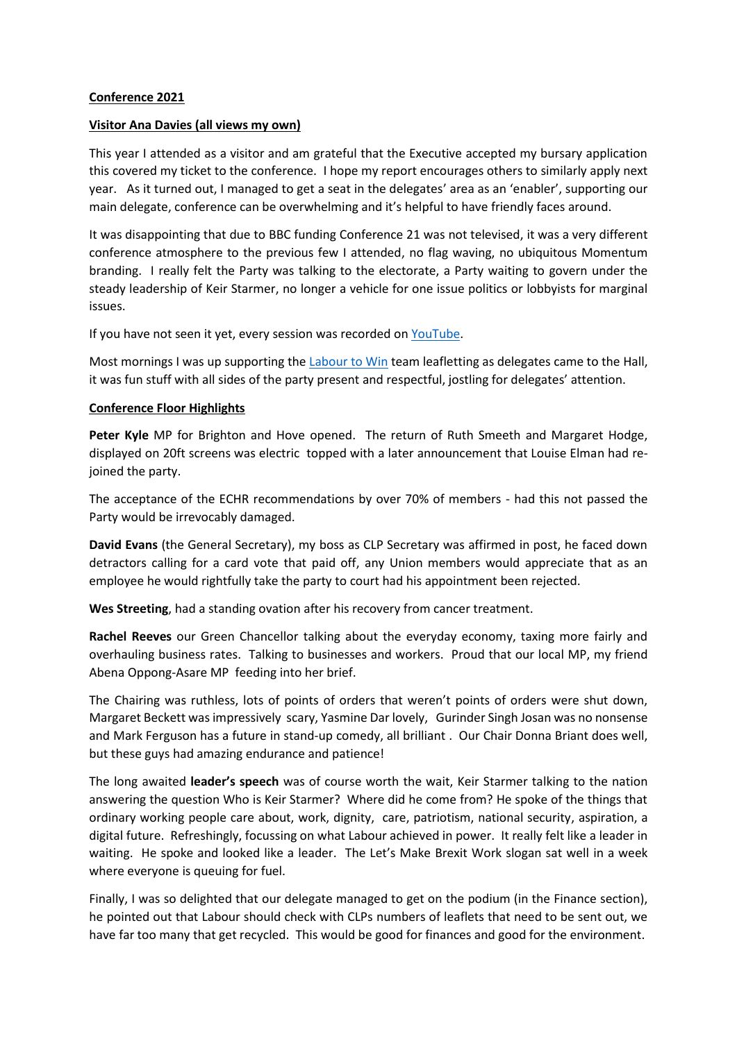## **Conference 2021**

## **Visitor Ana Davies (all views my own)**

This year I attended as a visitor and am grateful that the Executive accepted my bursary application this covered my ticket to the conference. I hope my report encourages others to similarly apply next year. As it turned out, I managed to get a seat in the delegates' area as an 'enabler', supporting our main delegate, conference can be overwhelming and it's helpful to have friendly faces around.

It was disappointing that due to BBC funding Conference 21 was not televised, it was a very different conference atmosphere to the previous few I attended, no flag waving, no ubiquitous Momentum branding. I really felt the Party was talking to the electorate, a Party waiting to govern under the steady leadership of Keir Starmer, no longer a vehicle for one issue politics or lobbyists for marginal issues.

If you have not seen it yet, every session was recorded on [YouTube.](https://www.google.co.uk/search?q=labour+party+conference+you+tube&biw=1920&bih=969&tbm=vid&sxsrf=AOaemvLWdhcaVZt2YOkDFBprOfcmlcRpSA%3A1633109558316&ei=NkZXYaTSEsaVxc8PpMGTkAQ&oq=labour+party+conference+you+tube&gs_l=psy-ab-video.3...6883.9336.0.9602.0.0.0.0.0.0.0.0..0.0....0...1c.1.64.psy-ab-video..0.0.0....0.uJtW7CyOGKc)

Most mornings I was up supporting the [Labour to Win](https://www.labourtowin.org/) team leafletting as delegates came to the Hall, it was fun stuff with all sides of the party present and respectful, jostling for delegates' attention.

#### **Conference Floor Highlights**

**Peter Kyle** MP for Brighton and Hove opened. The return of Ruth Smeeth and Margaret Hodge, displayed on 20ft screens was electric topped with a later announcement that Louise Elman had rejoined the party.

The acceptance of the ECHR recommendations by over 70% of members - had this not passed the Party would be irrevocably damaged.

**David Evans** (the General Secretary), my boss as CLP Secretary was affirmed in post, he faced down detractors calling for a card vote that paid off, any Union members would appreciate that as an employee he would rightfully take the party to court had his appointment been rejected.

**Wes Streeting**, had a standing ovation after his recovery from cancer treatment.

**Rachel Reeves** our Green Chancellor talking about the everyday economy, taxing more fairly and overhauling business rates. Talking to businesses and workers. Proud that our local MP, my friend Abena Oppong-Asare MP feeding into her brief.

The Chairing was ruthless, lots of points of orders that weren't points of orders were shut down, Margaret Beckett was impressively scary, Yasmine Dar lovely, Gurinder Singh Josan was no nonsense and Mark Ferguson has a future in stand-up comedy, all brilliant . Our Chair Donna Briant does well, but these guys had amazing endurance and patience!

The long awaited **leader's speech** was of course worth the wait, Keir Starmer talking to the nation answering the question Who is Keir Starmer? Where did he come from? He spoke of the things that ordinary working people care about, work, dignity, care, patriotism, national security, aspiration, a digital future. Refreshingly, focussing on what Labour achieved in power. It really felt like a leader in waiting. He spoke and looked like a leader. The Let's Make Brexit Work slogan sat well in a week where everyone is queuing for fuel.

Finally, I was so delighted that our delegate managed to get on the podium (in the Finance section), he pointed out that Labour should check with CLPs numbers of leaflets that need to be sent out, we have far too many that get recycled. This would be good for finances and good for the environment.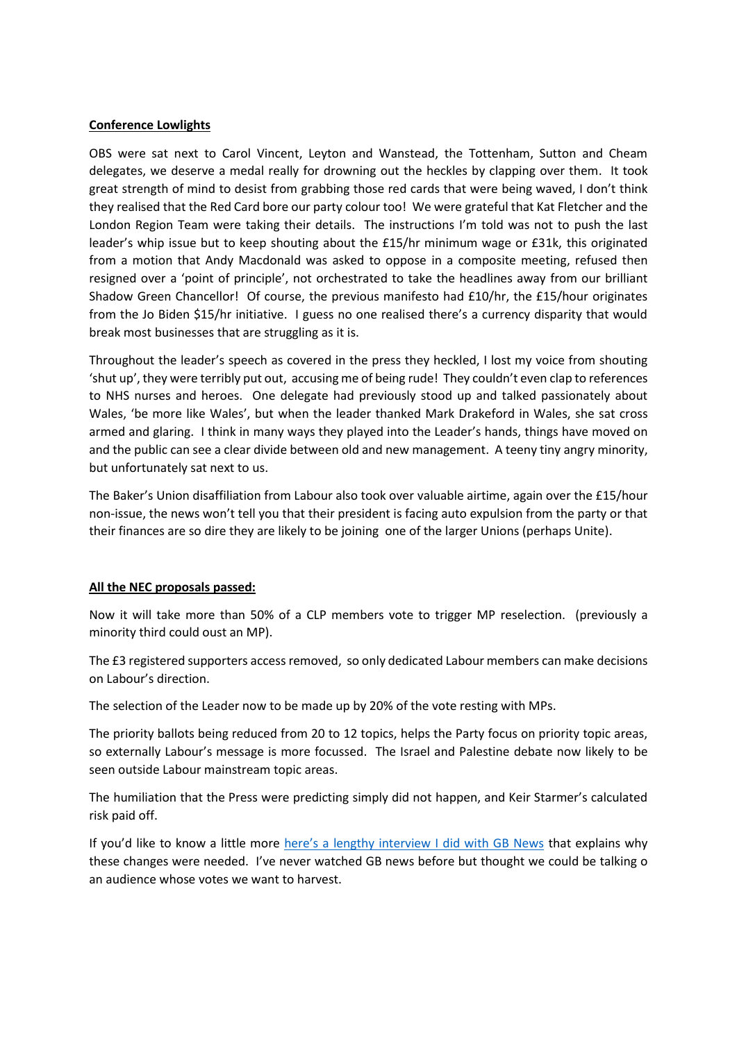#### **Conference Lowlights**

OBS were sat next to Carol Vincent, Leyton and Wanstead, the Tottenham, Sutton and Cheam delegates, we deserve a medal really for drowning out the heckles by clapping over them. It took great strength of mind to desist from grabbing those red cards that were being waved, I don't think they realised that the Red Card bore our party colour too! We were grateful that Kat Fletcher and the London Region Team were taking their details. The instructions I'm told was not to push the last leader's whip issue but to keep shouting about the £15/hr minimum wage or £31k, this originated from a motion that Andy Macdonald was asked to oppose in a composite meeting, refused then resigned over a 'point of principle', not orchestrated to take the headlines away from our brilliant Shadow Green Chancellor! Of course, the previous manifesto had £10/hr, the £15/hour originates from the Jo Biden \$15/hr initiative. I guess no one realised there's a currency disparity that would break most businesses that are struggling as it is.

Throughout the leader's speech as covered in the press they heckled, I lost my voice from shouting 'shut up', they were terribly put out, accusing me of being rude! They couldn't even clap to references to NHS nurses and heroes. One delegate had previously stood up and talked passionately about Wales, 'be more like Wales', but when the leader thanked Mark Drakeford in Wales, she sat cross armed and glaring. I think in many ways they played into the Leader's hands, things have moved on and the public can see a clear divide between old and new management. A teeny tiny angry minority, but unfortunately sat next to us.

The Baker's Union disaffiliation from Labour also took over valuable airtime, again over the £15/hour non-issue, the news won't tell you that their president is facing auto expulsion from the party or that their finances are so dire they are likely to be joining one of the larger Unions (perhaps Unite).

#### **All the NEC proposals passed:**

Now it will take more than 50% of a CLP members vote to trigger MP reselection. (previously a minority third could oust an MP).

The £3 registered supporters access removed, so only dedicated Labour members can make decisions on Labour's direction.

The selection of the Leader now to be made up by 20% of the vote resting with MPs.

The priority ballots being reduced from 20 to 12 topics, helps the Party focus on priority topic areas, so externally Labour's message is more focussed. The Israel and Palestine debate now likely to be seen outside Labour mainstream topic areas.

The humiliation that the Press were predicting simply did not happen, and Keir Starmer's calculated risk paid off.

If you'd like to know a little more [here's a lengthy interview I did with GB News](https://www.youtube.com/watch?v=m0Ss0JyBOC4&feature=youtu.be) that explains why these changes were needed. I've never watched GB news before but thought we could be talking o an audience whose votes we want to harvest.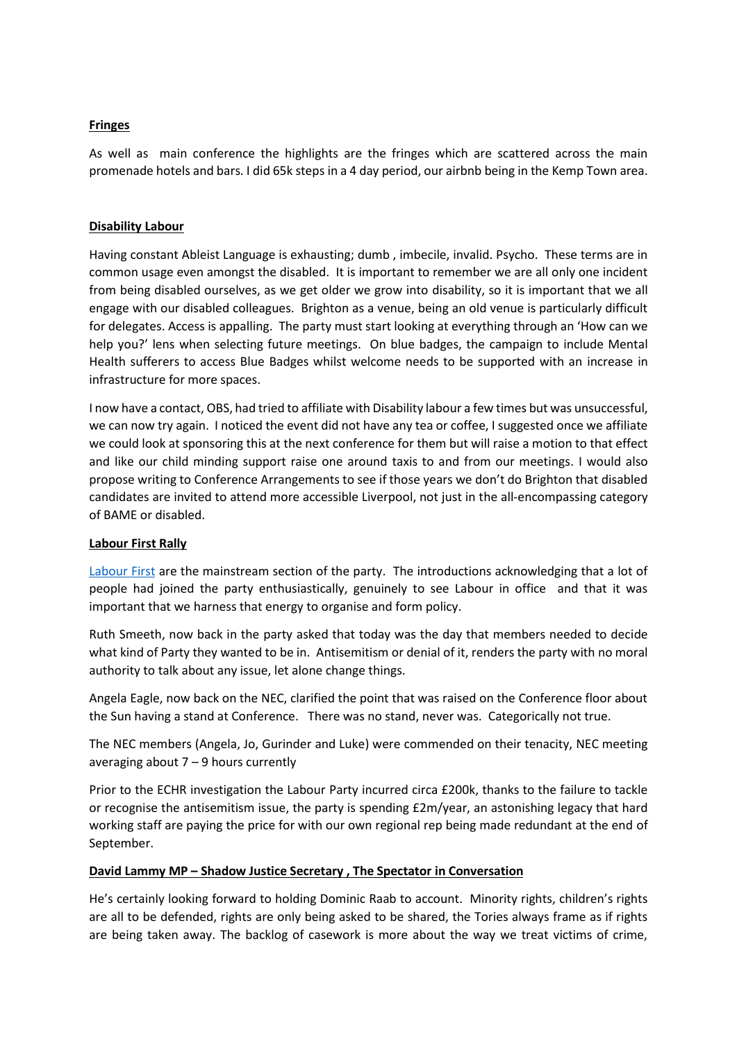## **Fringes**

As well as main conference the highlights are the fringes which are scattered across the main promenade hotels and bars. I did 65k steps in a 4 day period, our airbnb being in the Kemp Town area.

#### **Disability Labour**

Having constant Ableist Language is exhausting; dumb , imbecile, invalid. Psycho. These terms are in common usage even amongst the disabled. It is important to remember we are all only one incident from being disabled ourselves, as we get older we grow into disability, so it is important that we all engage with our disabled colleagues. Brighton as a venue, being an old venue is particularly difficult for delegates. Access is appalling. The party must start looking at everything through an 'How can we help you?' lens when selecting future meetings. On blue badges, the campaign to include Mental Health sufferers to access Blue Badges whilst welcome needs to be supported with an increase in infrastructure for more spaces.

I now have a contact, OBS, had tried to affiliate with Disability labour a few times but was unsuccessful, we can now try again. I noticed the event did not have any tea or coffee, I suggested once we affiliate we could look at sponsoring this at the next conference for them but will raise a motion to that effect and like our child minding support raise one around taxis to and from our meetings. I would also propose writing to Conference Arrangements to see if those years we don't do Brighton that disabled candidates are invited to attend more accessible Liverpool, not just in the all-encompassing category of BAME or disabled.

#### **Labour First Rally**

[Labour First](https://www.labourfirst.org/) are the mainstream section of the party. The introductions acknowledging that a lot of people had joined the party enthusiastically, genuinely to see Labour in office and that it was important that we harness that energy to organise and form policy.

Ruth Smeeth, now back in the party asked that today was the day that members needed to decide what kind of Party they wanted to be in. Antisemitism or denial of it, renders the party with no moral authority to talk about any issue, let alone change things.

Angela Eagle, now back on the NEC, clarified the point that was raised on the Conference floor about the Sun having a stand at Conference. There was no stand, never was. Categorically not true.

The NEC members (Angela, Jo, Gurinder and Luke) were commended on their tenacity, NEC meeting averaging about  $7 - 9$  hours currently

Prior to the ECHR investigation the Labour Party incurred circa £200k, thanks to the failure to tackle or recognise the antisemitism issue, the party is spending £2m/year, an astonishing legacy that hard working staff are paying the price for with our own regional rep being made redundant at the end of September.

#### **David Lammy MP – Shadow Justice Secretary , The Spectator in Conversation**

He's certainly looking forward to holding Dominic Raab to account. Minority rights, children's rights are all to be defended, rights are only being asked to be shared, the Tories always frame as if rights are being taken away. The backlog of casework is more about the way we treat victims of crime,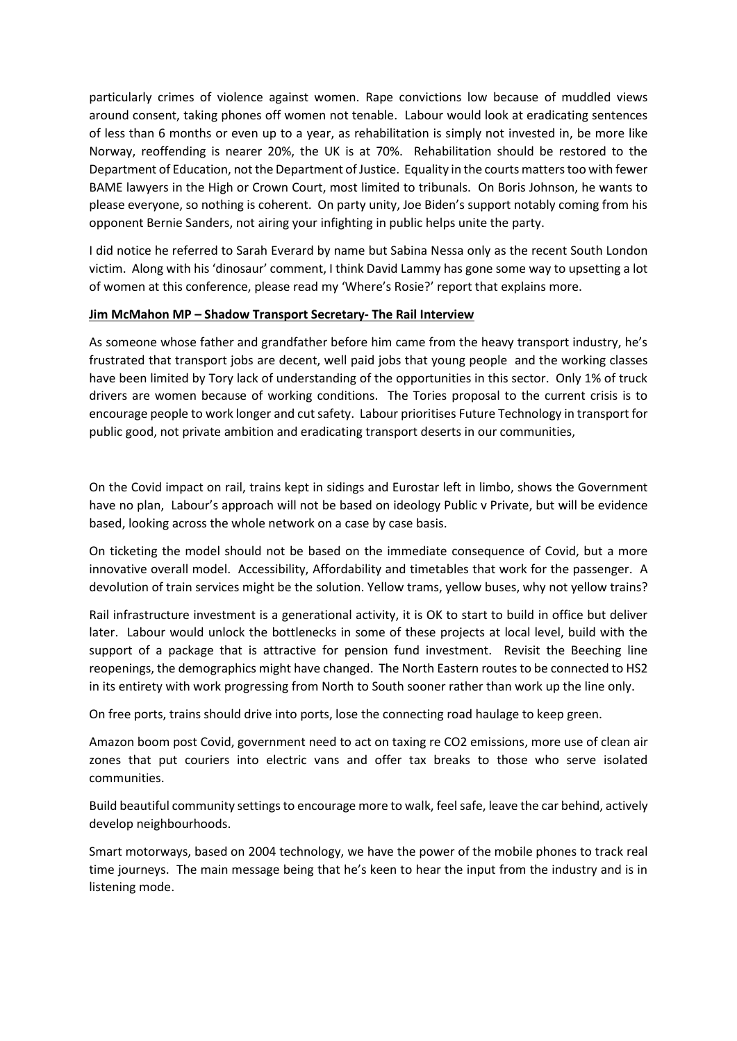particularly crimes of violence against women. Rape convictions low because of muddled views around consent, taking phones off women not tenable. Labour would look at eradicating sentences of less than 6 months or even up to a year, as rehabilitation is simply not invested in, be more like Norway, reoffending is nearer 20%, the UK is at 70%. Rehabilitation should be restored to the Department of Education, not the Department of Justice. Equality in the courts matters too with fewer BAME lawyers in the High or Crown Court, most limited to tribunals. On Boris Johnson, he wants to please everyone, so nothing is coherent. On party unity, Joe Biden's support notably coming from his opponent Bernie Sanders, not airing your infighting in public helps unite the party.

I did notice he referred to Sarah Everard by name but Sabina Nessa only as the recent South London victim. Along with his 'dinosaur' comment, I think David Lammy has gone some way to upsetting a lot of women at this conference, please read my 'Where's Rosie?' report that explains more.

#### **Jim McMahon MP – Shadow Transport Secretary- The Rail Interview**

As someone whose father and grandfather before him came from the heavy transport industry, he's frustrated that transport jobs are decent, well paid jobs that young people and the working classes have been limited by Tory lack of understanding of the opportunities in this sector. Only 1% of truck drivers are women because of working conditions. The Tories proposal to the current crisis is to encourage people to work longer and cut safety. Labour prioritises Future Technology in transport for public good, not private ambition and eradicating transport deserts in our communities,

On the Covid impact on rail, trains kept in sidings and Eurostar left in limbo, shows the Government have no plan, Labour's approach will not be based on ideology Public v Private, but will be evidence based, looking across the whole network on a case by case basis.

On ticketing the model should not be based on the immediate consequence of Covid, but a more innovative overall model. Accessibility, Affordability and timetables that work for the passenger. A devolution of train services might be the solution. Yellow trams, yellow buses, why not yellow trains?

Rail infrastructure investment is a generational activity, it is OK to start to build in office but deliver later. Labour would unlock the bottlenecks in some of these projects at local level, build with the support of a package that is attractive for pension fund investment. Revisit the Beeching line reopenings, the demographics might have changed. The North Eastern routes to be connected to HS2 in its entirety with work progressing from North to South sooner rather than work up the line only.

On free ports, trains should drive into ports, lose the connecting road haulage to keep green.

Amazon boom post Covid, government need to act on taxing re CO2 emissions, more use of clean air zones that put couriers into electric vans and offer tax breaks to those who serve isolated communities.

Build beautiful community settings to encourage more to walk, feel safe, leave the car behind, actively develop neighbourhoods.

Smart motorways, based on 2004 technology, we have the power of the mobile phones to track real time journeys. The main message being that he's keen to hear the input from the industry and is in listening mode.